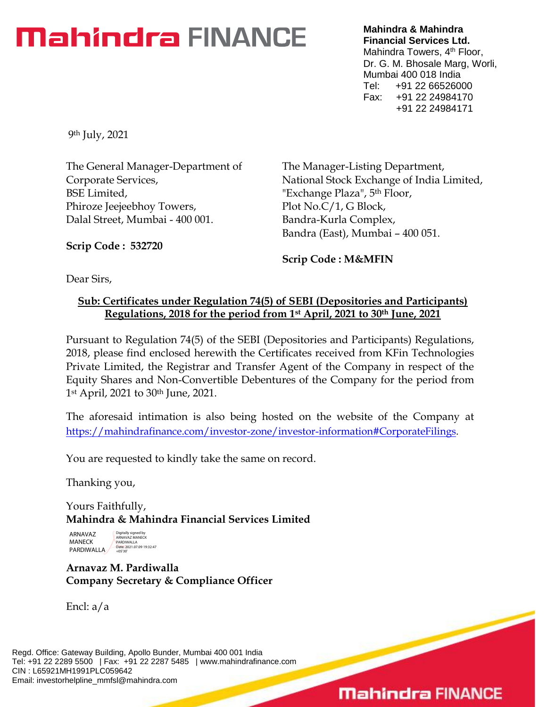# **Mahindra FINANCE**

**Mahindra & Mahindra Financial Services Ltd.** Mahindra Towers, 4<sup>th</sup> Floor, Dr. G. M. Bhosale Marg, Worli, Mumbai 400 018 India Tel: +91 22 66526000 Fax: +91 22 24984170 +91 22 24984171

9th July, 2021

The General Manager-Department of Corporate Services, BSE Limited, Phiroze Jeejeebhoy Towers, Dalal Street, Mumbai - 400 001.

The Manager-Listing Department, National Stock Exchange of India Limited, "Exchange Plaza", 5th Floor, Plot No.C/1, G Block, Bandra-Kurla Complex, Bandra (East), Mumbai – 400 051.

**Scrip Code : 532720**

**Scrip Code : M&MFIN**

Dear Sirs,

## **Sub: Certificates under Regulation 74(5) of SEBI (Depositories and Participants) Regulations, 2018 for the period from 1st April, 2021 to 30th June, 2021**

Pursuant to Regulation 74(5) of the SEBI (Depositories and Participants) Regulations, 2018, please find enclosed herewith the Certificates received from KFin Technologies Private Limited, the Registrar and Transfer Agent of the Company in respect of the Equity Shares and Non-Convertible Debentures of the Company for the period from 1st April, 2021 to 30th June, 2021.

The aforesaid intimation is also being hosted on the website of the Company at [https://mahindrafinance.com/investor-zone/investor-information#CorporateFilings.](https://mahindrafinance.com/investor-zone/investor-information#CorporateFilings)

You are requested to kindly take the same on record.

Thanking you,

Yours Faithfully, **Mahindra & Mahindra Financial Services Limited**

ARNAVAZ MANECK **PARDIWALLA** Digitally signed by ARNAVAZ MANECK PARDIWALLA Date: 2021.07.09 19:32:47 +05'30'

# **Arnavaz M. Pardiwalla Company Secretary & Compliance Officer**

Encl: a/a

Regd. Office: Gateway Building, Apollo Bunder, Mumbai 400 001 India Tel: +91 22 2289 5500 | Fax: +91 22 2287 5485 | www.mahindrafinance.com CIN : L65921MH1991PLC059642 Email: investorhelpline\_mmfsl@mahindra.com

# **Mahindra FINANCE**

 $\overline{\phantom{0}}$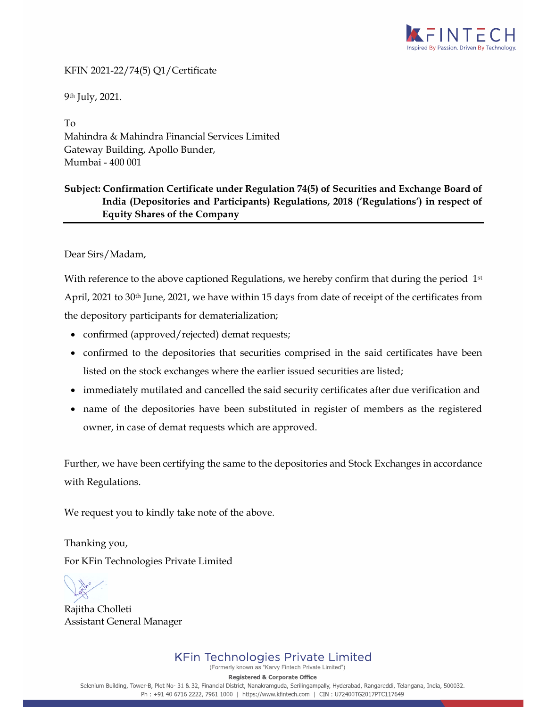

#### KFIN 2021-22/74(5) Q1/Certificate

9th July, 2021.

To Mahindra & Mahindra Financial Services Limited Gateway Building, Apollo Bunder, Mumbai - 400 001

### **Subject: Confirmation Certificate under Regulation 74(5) of Securities and Exchange Board of India (Depositories and Participants) Regulations, 2018 ('Regulations') in respect of Equity Shares of the Company**

Dear Sirs/Madam,

With reference to the above captioned Regulations, we hereby confirm that during the period  $1<sup>st</sup>$ April, 2021 to 30<sup>th</sup> June, 2021, we have within 15 days from date of receipt of the certificates from the depository participants for dematerialization;

- confirmed (approved/rejected) demat requests;
- confirmed to the depositories that securities comprised in the said certificates have been listed on the stock exchanges where the earlier issued securities are listed;
- immediately mutilated and cancelled the said security certificates after due verification and
- name of the depositories have been substituted in register of members as the registered owner, in case of demat requests which are approved.

Further, we have been certifying the same to the depositories and Stock Exchanges in accordance with Regulations.

We request you to kindly take note of the above.

Thanking you, For KFin Technologies Private Limited

Rajitha Cholleti Assistant General Manager

**Registered & Corporate Office** 

Selenium Building, Tower-B, Plot No- 31 & 32, Financial District, Nanakramguda, Serilingampally, Hyderabad, Rangareddi, Telangana, India, 500032. Ph: +91 40 6716 2222, 7961 1000 | https://www.kfintech.com | CIN: U72400TG2017PTC117649